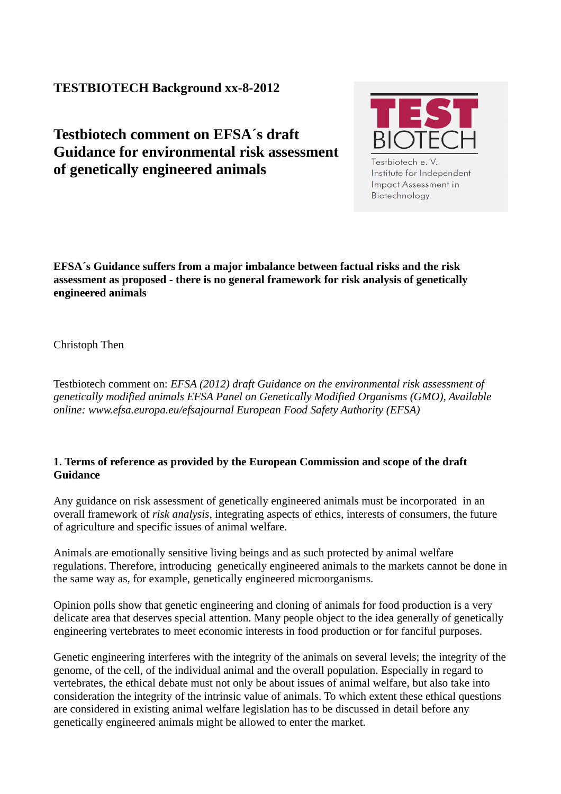# **TESTBIOTECH Background xx-8-2012**

# **Testbiotech comment on EFSA´s draft Guidance for environmental risk assessment of genetically engineered animals**



Testbiotech e.V. Institute for Independent **Impact Assessment in** Biotechnology

**EFSA´s Guidance suffers from a major imbalance between factual risks and the risk assessment as proposed - there is no general framework for risk analysis of genetically engineered animals** 

Christoph Then

Testbiotech comment on: *EFSA (2012) draft Guidance on the environmental risk assessment of genetically modified animals EFSA Panel on Genetically Modified Organisms (GMO), Available online: www.efsa.europa.eu/efsajournal European Food Safety Authority (EFSA)*

## **1. Terms of reference as provided by the European Commission and scope of the draft Guidance**

Any guidance on risk assessment of genetically engineered animals must be incorporated in an overall framework of *risk analysis,* integrating aspects of ethics, interests of consumers, the future of agriculture and specific issues of animal welfare.

Animals are emotionally sensitive living beings and as such protected by animal welfare regulations. Therefore, introducing genetically engineered animals to the markets cannot be done in the same way as, for example, genetically engineered microorganisms.

Opinion polls show that genetic engineering and cloning of animals for food production is a very delicate area that deserves special attention. Many people object to the idea generally of genetically engineering vertebrates to meet economic interests in food production or for fanciful purposes.

Genetic engineering interferes with the integrity of the animals on several levels; the integrity of the genome, of the cell, of the individual animal and the overall population. Especially in regard to vertebrates, the ethical debate must not only be about issues of animal welfare, but also take into consideration the integrity of the intrinsic value of animals. To which extent these ethical questions are considered in existing animal welfare legislation has to be discussed in detail before any genetically engineered animals might be allowed to enter the market.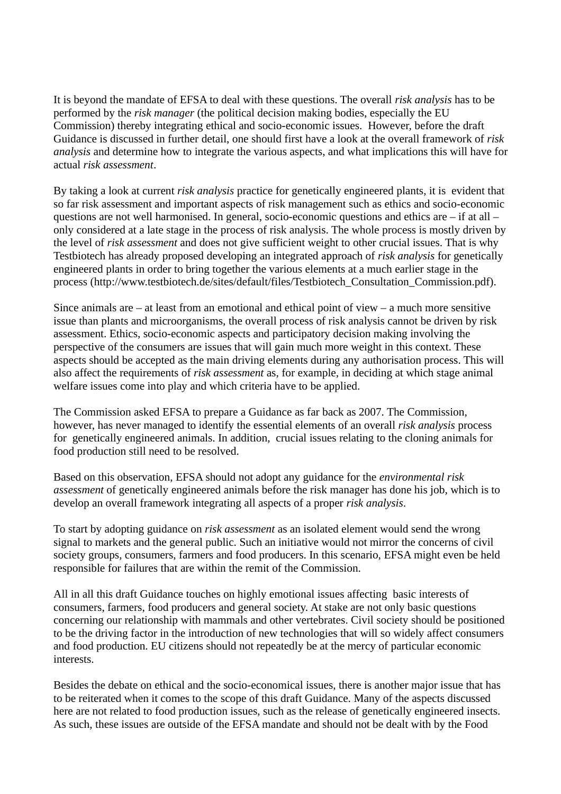It is beyond the mandate of EFSA to deal with these questions. The overall *risk analysis* has to be performed by the *risk manager* (the political decision making bodies, especially the EU Commission) thereby integrating ethical and socio-economic issues. However, before the draft Guidance is discussed in further detail, one should first have a look at the overall framework of *risk analysis* and determine how to integrate the various aspects, and what implications this will have for actual *risk assessment*.

By taking a look at current *risk analysis* practice for genetically engineered plants, it is evident that so far risk assessment and important aspects of risk management such as ethics and socio-economic questions are not well harmonised. In general, socio-economic questions and ethics are – if at all – only considered at a late stage in the process of risk analysis. The whole process is mostly driven by the level of *risk assessment* and does not give sufficient weight to other crucial issues. That is why Testbiotech has already proposed developing an integrated approach of *risk analysis* for genetically engineered plants in order to bring together the various elements at a much earlier stage in the process (http://www.testbiotech.de/sites/default/files/Testbiotech\_Consultation\_Commission.pdf).

Since animals are – at least from an emotional and ethical point of view – a much more sensitive issue than plants and microorganisms, the overall process of risk analysis cannot be driven by risk assessment. Ethics, socio-economic aspects and participatory decision making involving the perspective of the consumers are issues that will gain much more weight in this context. These aspects should be accepted as the main driving elements during any authorisation process. This will also affect the requirements of *risk assessment* as, for example, in deciding at which stage animal welfare issues come into play and which criteria have to be applied.

The Commission asked EFSA to prepare a Guidance as far back as 2007. The Commission, however, has never managed to identify the essential elements of an overall *risk analysis* process for genetically engineered animals. In addition, crucial issues relating to the cloning animals for food production still need to be resolved.

Based on this observation, EFSA should not adopt any guidance for the *environmental risk assessment* of genetically engineered animals before the risk manager has done his job, which is to develop an overall framework integrating all aspects of a proper *risk analysis*.

To start by adopting guidance on *risk assessment* as an isolated element would send the wrong signal to markets and the general public. Such an initiative would not mirror the concerns of civil society groups, consumers, farmers and food producers. In this scenario, EFSA might even be held responsible for failures that are within the remit of the Commission.

All in all this draft Guidance touches on highly emotional issues affecting basic interests of consumers, farmers, food producers and general society. At stake are not only basic questions concerning our relationship with mammals and other vertebrates. Civil society should be positioned to be the driving factor in the introduction of new technologies that will so widely affect consumers and food production. EU citizens should not repeatedly be at the mercy of particular economic interests.

Besides the debate on ethical and the socio-economical issues, there is another major issue that has to be reiterated when it comes to the scope of this draft Guidance. Many of the aspects discussed here are not related to food production issues, such as the release of genetically engineered insects. As such, these issues are outside of the EFSA mandate and should not be dealt with by the Food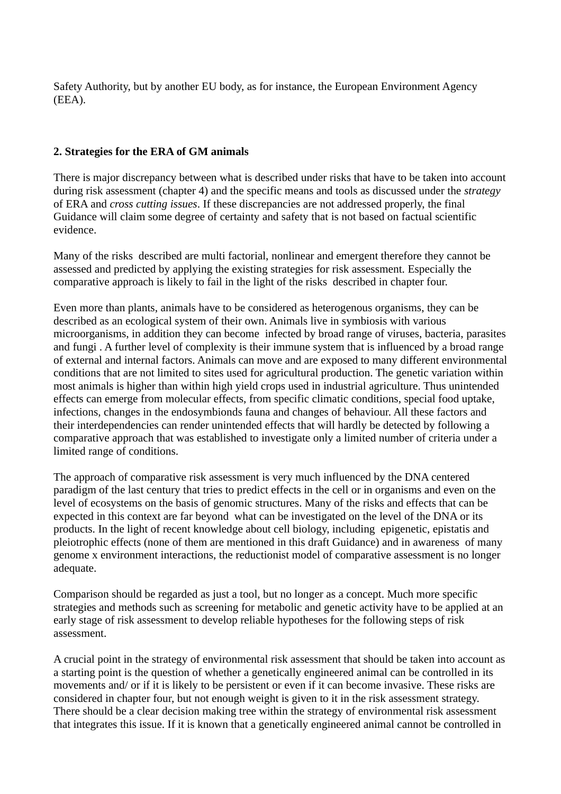Safety Authority, but by another EU body, as for instance, the European Environment Agency (EEA).

### **2. Strategies for the ERA of GM animals**

There is major discrepancy between what is described under risks that have to be taken into account during risk assessment (chapter 4) and the specific means and tools as discussed under the *strategy* of ERA and *cross cutting issues*. If these discrepancies are not addressed properly, the final Guidance will claim some degree of certainty and safety that is not based on factual scientific evidence.

Many of the risks described are multi factorial, nonlinear and emergent therefore they cannot be assessed and predicted by applying the existing strategies for risk assessment. Especially the comparative approach is likely to fail in the light of the risks described in chapter four.

Even more than plants, animals have to be considered as heterogenous organisms, they can be described as an ecological system of their own. Animals live in symbiosis with various microorganisms, in addition they can become infected by broad range of viruses, bacteria, parasites and fungi . A further level of complexity is their immune system that is influenced by a broad range of external and internal factors. Animals can move and are exposed to many different environmental conditions that are not limited to sites used for agricultural production. The genetic variation within most animals is higher than within high yield crops used in industrial agriculture. Thus unintended effects can emerge from molecular effects, from specific climatic conditions, special food uptake, infections, changes in the endosymbionds fauna and changes of behaviour. All these factors and their interdependencies can render unintended effects that will hardly be detected by following a comparative approach that was established to investigate only a limited number of criteria under a limited range of conditions.

The approach of comparative risk assessment is very much influenced by the DNA centered paradigm of the last century that tries to predict effects in the cell or in organisms and even on the level of ecosystems on the basis of genomic structures. Many of the risks and effects that can be expected in this context are far beyond what can be investigated on the level of the DNA or its products. In the light of recent knowledge about cell biology, including epigenetic, epistatis and pleiotrophic effects (none of them are mentioned in this draft Guidance) and in awareness of many genome x environment interactions, the reductionist model of comparative assessment is no longer adequate.

Comparison should be regarded as just a tool, but no longer as a concept. Much more specific strategies and methods such as screening for metabolic and genetic activity have to be applied at an early stage of risk assessment to develop reliable hypotheses for the following steps of risk assessment.

A crucial point in the strategy of environmental risk assessment that should be taken into account as a starting point is the question of whether a genetically engineered animal can be controlled in its movements and/ or if it is likely to be persistent or even if it can become invasive. These risks are considered in chapter four, but not enough weight is given to it in the risk assessment strategy. There should be a clear decision making tree within the strategy of environmental risk assessment that integrates this issue. If it is known that a genetically engineered animal cannot be controlled in